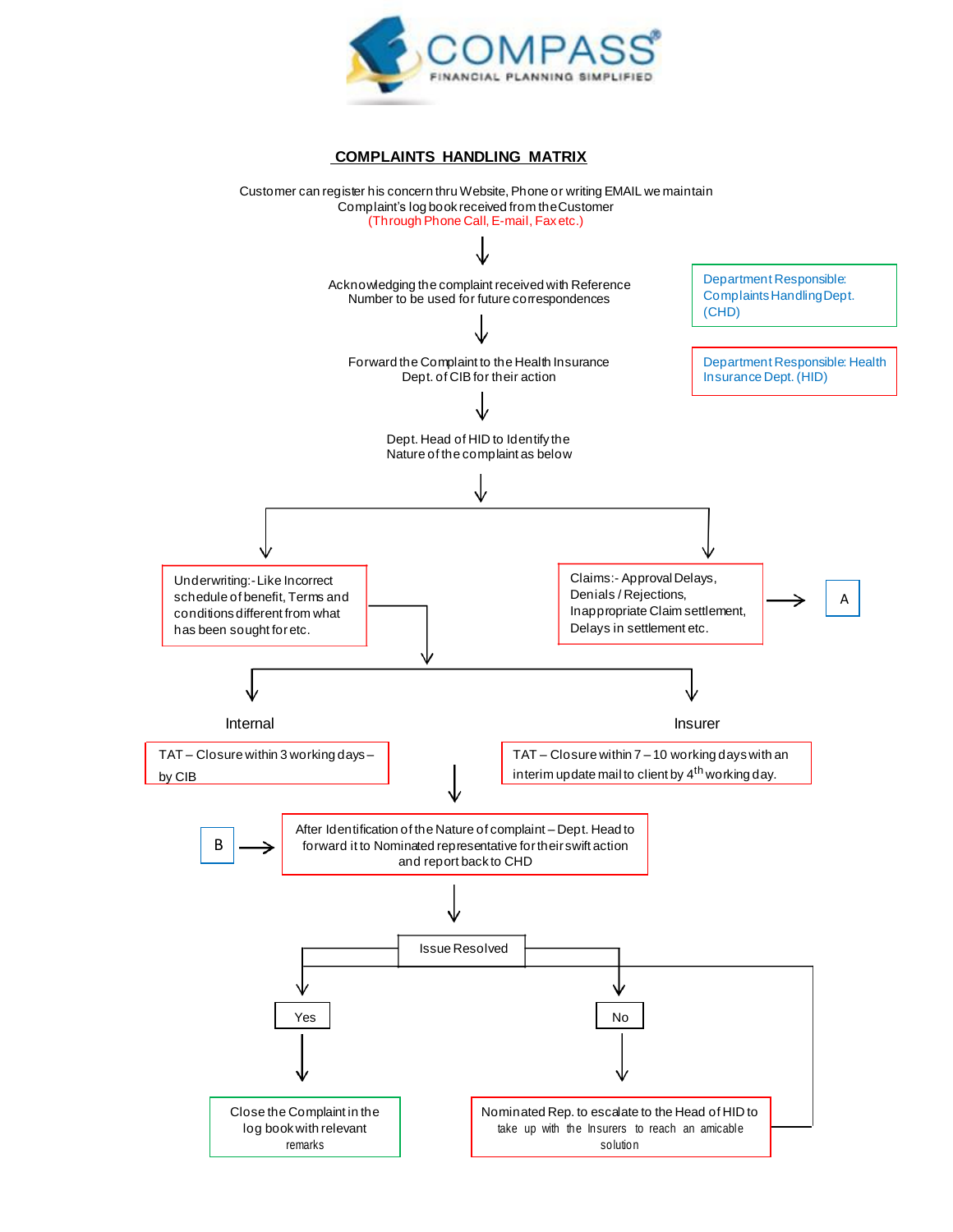

## **COMPLAINTS HANDLING MATRIX**